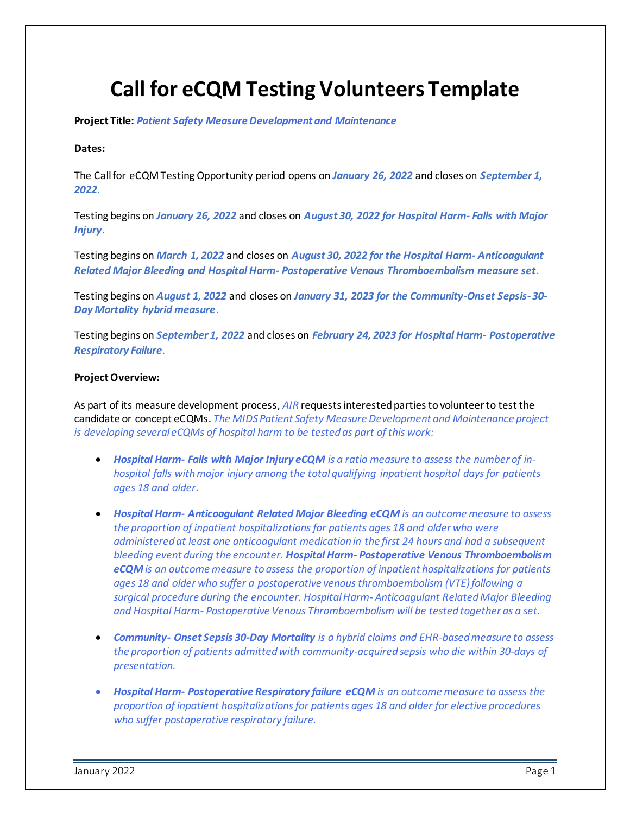# **Call for eCQM Testing Volunteers Template**

**Project Title:** *Patient Safety Measure Development and Maintenance*

#### **Dates:**

The Call for eCQM Testing Opportunity period opens on *January 26, 2022* and closes on *September 1, 2022*.

Testing begins on *January 26, 2022* and closes on *August 30, 2022 for Hospital Harm- Falls with Major Injury*.

Testing begins on *March 1, 2022* and closes on *August 30, 2022 for the Hospital Harm- Anticoagulant Related Major Bleeding and Hospital Harm- Postoperative Venous Thromboembolism measure set*.

Testing begins on *August 1, 2022* and closes on *January 31, 2023 for the Community-Onset Sepsis-30- Day Mortality hybrid measure*.

Testing begins on *September 1, 2022* and closes on *February 24, 2023 for Hospital Harm- Postoperative Respiratory Failure*.

#### **Project Overview:**

As part of its measure development process, *AIR* requests interested parties to volunteer to test the candidate or concept eCQMs. *The MIDS Patient Safety Measure Development and Maintenance project is developing several eCQMs of hospital harm to be tested as part of this work:* 

- *Hospital Harm- Falls with Major Injury eCQM is a ratio measure to assess the number of inhospital falls with major injury among the total qualifying inpatient hospital days for patients ages 18 and older.*
- *Hospital Harm- Anticoagulant Related Major Bleeding eCQM is an outcome measure to assess the proportion of inpatient hospitalizations for patients ages 18 and older who were administered at least one anticoagulant medication in the first 24 hours and had a subsequent bleeding event during the encounter. Hospital Harm- Postoperative Venous Thromboembolism eCQMis an outcome measure to assess the proportion of inpatient hospitalizations for patients ages 18 and older who suffer a postoperative venous thromboembolism (VTE) following a surgical procedure during the encounter. Hospital Harm-Anticoagulant Related Major Bleeding and Hospital Harm- Postoperative Venous Thromboembolism will be tested together as a set.*
- *Community- Onset Sepsis 30-Day Mortality is a hybrid claims and EHR-based measure to assess the proportion of patients admitted with community-acquired sepsis who die within 30-days of presentation.*
- *Hospital Harm- Postoperative Respiratory failure eCQM is an outcome measure to assess the proportion of inpatient hospitalizations for patients ages 18 and older for elective procedures who suffer postoperative respiratory failure.*